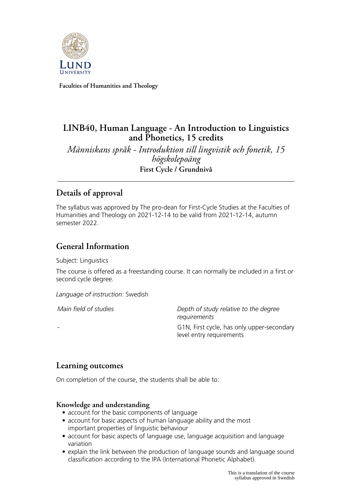

**Faculties of Humanities and Theology**

# **LINB40, Human Language - An Introduction to Linguistics and Phonetics, 15 credits**

*Människans språk - Introduktion till lingvistik och fonetik, 15 högskolepoäng* **First Cycle / Grundnivå**

# **Details of approval**

The syllabus was approved by The pro-dean for First-Cycle Studies at the Faculties of Humanities and Theology on 2021-12-14 to be valid from 2021-12-14, autumn semester 2022.

# **General Information**

Subject: Linguistics

The course is offered as a freestanding course. It can normally be included in a first or second cycle degree.

*Language of instruction:* Swedish

*Main field of studies Depth of study relative to the degree requirements* G1N, First cycle, has only upper-secondary level entry requirements

# **Learning outcomes**

On completion of the course, the students shall be able to:

### **Knowledge and understanding**

- account for the basic components of language
- account for basic aspects of human language ability and the most important properties of linguistic behaviour
- account for basic aspects of language use, language acquisition and language variation
- explain the link between the production of language sounds and language sound classification according to the IPA (International Phonetic Alphabet).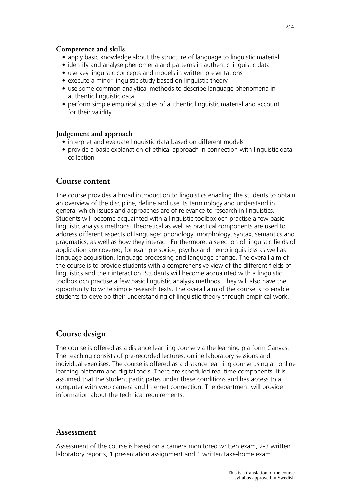#### **Competence and skills**

- apply basic knowledge about the structure of language to linguistic material
- identify and analyse phenomena and patterns in authentic linguistic data
- use key linguistic concepts and models in written presentations
- execute a minor linguistic study based on linguistic theory
- use some common analytical methods to describe language phenomena in authentic linguistic data
- perform simple empirical studies of authentic linguistic material and account for their validity

#### **Judgement and approach**

- interpret and evaluate linguistic data based on different models
- provide a basic explanation of ethical approach in connection with linguistic data collection

#### **Course content**

The course provides a broad introduction to linguistics enabling the students to obtain an overview of the discipline, define and use its terminology and understand in general which issues and approaches are of relevance to research in linguistics. Students will become acquainted with a linguistic toolbox och practise a few basic linguistic analysis methods. Theoretical as well as practical components are used to address different aspects of language: phonology, morphology, syntax, semantics and pragmatics, as well as how they interact. Furthermore, a selection of linguistic fields of application are covered, for example socio-, psycho and neurolinguisticss as well as language acquisition, language processing and language change. The overall aim of the course is to provide students with a comprehensive view of the different fields of linguistics and their interaction. Students will become acquainted with a linguistic toolbox och practise a few basic linguistic analysis methods. They will also have the opportunity to write simple research texts. The overall aim of the course is to enable students to develop their understanding of linguistic theory through empirical work.

### **Course design**

The course is offered as a distance learning course via the learning platform Canvas. The teaching consists of pre-recorded lectures, online laboratory sessions and individual exercises. The course is offered as a distance learning course using an online learning platform and digital tools. There are scheduled real-time components. It is assumed that the student participates under these conditions and has access to a computer with web camera and Internet connection. The department will provide information about the technical requirements.

#### **Assessment**

Assessment of the course is based on a camera monitored written exam, 2-3 written laboratory reports, 1 presentation assignment and 1 written take-home exam.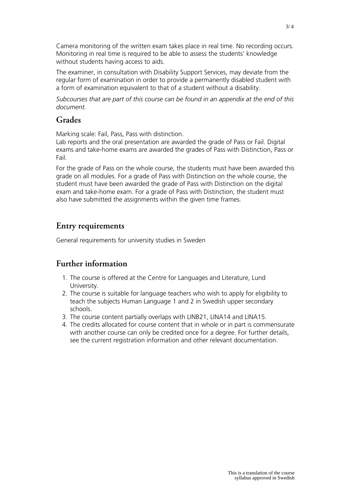Camera monitoring of the written exam takes place in real time. No recording occurs. Monitoring in real time is required to be able to assess the students' knowledge without students having access to aids.

The examiner, in consultation with Disability Support Services, may deviate from the regular form of examination in order to provide a permanently disabled student with a form of examination equivalent to that of a student without a disability.

*Subcourses that are part of this course can be found in an appendix at the end of this document.*

## **Grades**

Marking scale: Fail, Pass, Pass with distinction.

Lab reports and the oral presentation are awarded the grade of Pass or Fail. Digital exams and take-home exams are awarded the grades of Pass with Distinction, Pass or Fail.

For the grade of Pass on the whole course, the students must have been awarded this grade on all modules. For a grade of Pass with Distinction on the whole course, the student must have been awarded the grade of Pass with Distinction on the digital exam and take-home exam. For a grade of Pass with Distinction, the student must also have submitted the assignments within the given time frames.

# **Entry requirements**

General requirements for university studies in Sweden

# **Further information**

- 1. The course is offered at the Centre for Languages and Literature, Lund University.
- 2. The course is suitable for language teachers who wish to apply for eligibility to teach the subjects Human Language 1 and 2 in Swedish upper secondary schools.
- 3. The course content partially overlaps with LINB21, LINA14 and LINA15.
- 4. The credits allocated for course content that in whole or in part is commensurate with another course can only be credited once for a degree. For further details, see the current registration information and other relevant documentation.